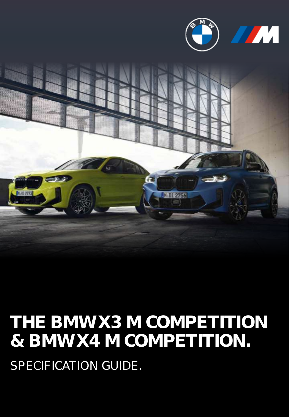



# **THE BMW X3 M COMPETITION & BMW X4 M COMPETITION.** SPECIFICATION GUIDE.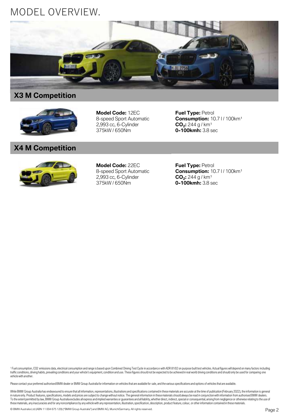### MODEL OVERVIEW.



### **X3 M Competition**



**Model Code:** 12EC 8-speed Sport Automatic 2,993 cc, 6-Cylinder 375kW / 650Nm

**Fuel Type:** Petrol **Consumption:** 10.7 l / 100km<sup>1</sup> **CO<sup>2</sup> :** 244 g / km¹ **0-100kmh:** 3.8 sec

### **X4 M Competition**



**Model Code:** 22EC 8-speed Sport Automatic 2,993 cc, 6-Cylinder 375kW / 650Nm

**Fuel Type: Petrol Consumption:** 10.7 l / 100km<sup>1</sup> **CO<sup>2</sup> :** 244 g / km¹ **0-100kmh:** 3.8 sec

<sup>1</sup> Fuel consumption, CO2 emissions data, electrical consumption and range is based upon Combined Driving Test Cycle in accordance with ADR 81/02 on purpose built test vehicles. Actual figures will depend on many factors i traffic conditions, driving habits, prevailing conditions and your vehicle's equipment, condition and use. These figures should not be expected to be achieved in real world driving conditions and should only be used for co vehicle with another.

Please contact your preferred authorised BMW dealer or BMW Group Australia for information on vehicles that are available for sale, and the various specifications and options of vehicles that are available.

While BMW Group Australia has endeavoured to ensure that all information, representations, illustrations and specifications contained in these materials are accurate at the time of publication (February 2022), the informat in nature only. Product features, specifications, models and prices are subject to change without notice. The general information in these materials should always be read in conjunction with information from authorised BMW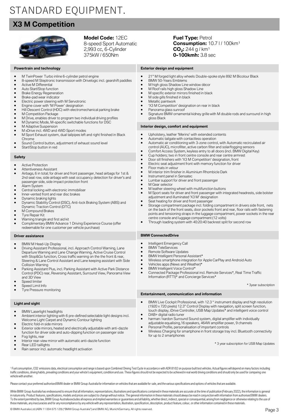## STANDARD EQUIPMENT.

### **X3 M Competition**



**Model Code:** 12EC 8-speed Sport Automatic 2,993 cc, 6-Cylinder 375kW / 650Nm

### **Fuel Type:** Petrol **Consumption:** 10.7 l / 100km<sup>1</sup> **CO<sup>2</sup> :** 244 g / km¹ **0-100kmh:** 3.8 sec

### **Exterior design and equipment**

- M TwinPower Turbo inline 6-cylinder petrol engine
- 8-speed M Steptronic transmission with Drivelogic incl. gearshift paddles
- Active M Differential
- Auto Start/Stop function
- **Brake Energy Regeneration**

**Powertrain and technology**

- Brake-pad wear indicator
- Electric power steering with M Servotronic
- Engine cover with 'M Power' designation
- Hill Descent Control (HDC) with electromechanical parking brake
- **M Competition Package**
- M Drive, enables driver to program two individual driving profiles
- M Dynamic Mode, M-specific switchable functions for DSC
- M Adaptive Suspension
- M xDrive incl. 4WD and 4WD Sport modes
- M Sport Exhaust system, dual tailpipes left and right finished in Black Chrome
- Sound Control button, adjustment of exhaust sound level
- Start/Stop button in red

### **Safety**

- Active Protection
- Attentiveness Assistant
- Airbags, 6 in total; for driver and front passenger, head airbags for 1st & 2nd seat row, side airbags with seat occupancy detection for driver's and passenger side, side impact protection front
- Alarm System
- Central locking with electronic immobiliser
- Inner-vented front and rear disc brakes
- Dynamic braking lights
- Dynamic Stability Control (DSC), Anti-lock Braking System (ABS) and Dynamic Traction Control (DTC)
- M Compound Brakes
- Tyre Repair Kit
- Warning triangle and first aid kit
- Complimentary BMW Advance 1 Driving Experience Course (offer redeemable for one customer per vehicle purchase)

#### **Driver assistance**

- BMW M Head-Up Display
- Driving Assistant Professional, incl. Approach Control Warning, Lane Departure Warning and Lane Change Warning, Active Cruise Control with Stop&Go function, Cross traffic warning on the the front & rear, Steering & Lane Control Assistant and Lane keeping assistant with Side Collision Warning
- Parking Assistant Plus, incl. Parking Assistant with Active Park Distance Control (PDC) rear, Reversing Assistant, Surround View, Panorama View and 3D View
- Speed limiter
- Speed Limit Info
- Tyre Pressure monitoring

### **Light and sight**

- BMW Laserlight headlights
- Ambient interior lighting with 6 pre-defined selectable light designs incl. Welcome Light Carpet and Dynamic Contour lighting
- Electric fold-in side mirrors
- Exterior side mirrors, heated and electrically adjustable with anti-dazzle function for driver side and auto-dipping function on passenger side Fog lights, rear
- Interior rear-view mirror with automatic anti-dazzle function
- Rear LED taillights
- Rain sensor incl. automatic headlight activation
- 21" M forged light alloy wheels Double-spoke style 892 M Bicolour Black
- BMW 50-Years Emblems
- M high gloss Shadow Line window décor
- M Roof rails high gloss Shadow Line
- M specific exterior mirrors finished in black M side gills finished in black
- Metallic paintwork
- 'X3 M Competition' designation on rear in black
- Panorama glass sunroof
- Signature BMW ornamental kidney grille with M double rods and surround in high gloss Black

#### **Interior design, comfort and equipment**

- Upholstery, leather 'Merino' with extended contents
- Automatic tailgate with contactless operation
- Automatic air conditioning with 3-zone control, with Automatic recirculated air control (AUC), microfilter, active carbon filter and solar/fogging sensors
- 
- Comfort Access System, keyless entry to all doors (incl. BMW Digital Key)<br>• Cup holders: two in front centre console and rear centre armrest • Cup holders; two in front centre console and rear centre armrest
- Door sill finishers with 'X3 M Competition' designation, front
- Electric seat adjustment front with memory function for driver
- Floor mats in velour
- M interior trim finisher in Aluminium Rhombicle Dark
- Instrument panel in Sensatec
- Lumbar support for driver and front passenger
- M Gear selector
- M leather steering wheel with multifunction buttons
- M Sport seats for driver and front passenger with integrated headrests, side bolster adjustment and illuminated 'X3 M' designation
- Seat heating for driver and front passenger
- Storage compartment package incl. folding compartment in drivers side front, nets on the back of the front seats, door pockets front and rear, floor rails with fastening points and tensioning straps in the luggage compartment, power sockets in the rear centre console and luggage compartment (12 volts)
- Through loading system with 40:20:40 backrest split for second row

### **BMW ConnectedDrive**

- Intelligent Emergency Call
- **BMW** TeleServices
- Remote Software Updates
- BMW Intelligent Personal Assistant\*
- Wireless smartphone integration for Apple CarPlay and Android Auto
- Vehicles apps (News and Weather)\*
- BMW Intelligent Voice Control\*
- Connected Package Professional incl. Remote Services\*, Real Time Traffic Information (RTTI)\* and Concierge Services\*

\* 3year subscription

#### **Entertainment, communication and information**

- BMW Live Cockpit Professional, with 12.3 " instrument display and high resolution (1920 x 720 pixels) 12.3" Control Display with navigation, split screen function, touch display, iDrive Controller, USB Map Updates\* and intelligent voice control DAB+ digital radio tuner
- harman / kardon Surround Sound system, digital amplifier with individually adjustable equalising,16 speakers, 464W amplifier power, 9 channels Personal Profile, personalisation of important controls
- 
- Wireless Charging for smartphone in front storage tray incl. Bluetooth connectivity for up to 2 smartphones

\* 3 year subscription for USB Map Updates

<sup>1</sup> Fuel consumption, CO2 emissions data, electrical consumption and range is based upon Combined Driving Test Cycle in accordance with ADR 81/02 on purpose built test vehicles. Actual figures will depend on many factors i traffic conditions, driving habits, prevailing conditions and your vehicle's equipment, condition and use. These figures should not be expected to be achieved in real world driving conditions and should only be used for co vehicle with another.

Please contact your preferred authorised BMW dealer or BMW Group Australia for information on vehicles that are available for sale, and the various specifications and options of vehicles that are available.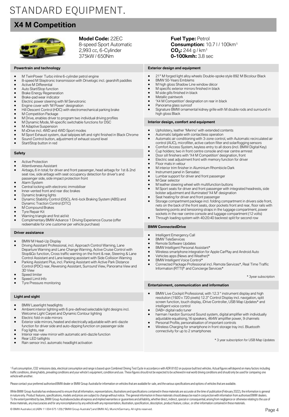## STANDARD EQUIPMENT.

### **X4 M Competition**



**Model Code:** 22EC 8-speed Sport Automatic 2,993 cc, 6-Cylinder 375kW / 650Nm

### **Powertrain and technology**

- M TwinPower Turbo inline 6-cylinder petrol engine
- 8-speed M Steptronic transmission with Drivelogic incl. gearshift paddles
- Active M Differential
- Auto Start/Stop function
- **Brake Energy Regeneration**
- Brake-pad wear indicator
- Electric power steering with M Servotronic
- Engine cover with 'M Power' designation
- Hill Descent Control (HDC) with electromechanical parking brake
- M Competition Package
- M Drive, enables driver to program two individual driving profiles
- M Dynamic Mode, M-specific switchable functions for DSC
- M Adaptive Suspension
- M xDrive incl. 4WD and 4WD Sport modes
- M Sport Exhaust system, dual tailpipes left and right finished in Black Chrome
- Sound Control button, adjustment of exhaust sound level
- Start/Stop button in red

#### **Safety**

- Active Protection
- Attentiveness Assistant • Airbags, 6 in total; for driver and front passenger, head airbags for 1st & 2nd seat row, side airbags with seat occupancy detection for driver's and passenger side, side impact protection front
- Alarm System
- Central locking with electronic immobiliser
- Inner-vented front and rear disc brakes
- 
- 
- Dynamic braking lights Dynamic Stability Control (DSC), Anti-lock Braking System (ABS) and Dynamic Traction Control (DTC)
- M Compound Brakes
- Tyre Repair Kit
- Warning triangle and first aid kit
- Complimentary BMW Advance 1 Driving Experience Course (offer redeemable for one customer per vehicle purchase)

#### **Driver assistance**

- BMW M Head-Up Display
- Driving Assistant Professional, incl. Approach Control Warning, Lane Departure Warning and Lane Change Warning, Active Cruise Control with Stop&Go function, Cross traffic warning on the front & rear, Steering & Lane Control Assistant and Lane keeping assistant with Side Collision Warning
- Parking Assistant Plus, incl. Parking Assistant with Active Park Distance Control (PDC) rear, Reversing Assistant, Surround View, Panorama View and 3D View
- Speed limiter
- Speed Limit Info
- Tyre Pressure monitoring

### **Light and sight**

- BMW Laserlight headlights
- Ambient interior lighting with 6 pre-defined selectable light designs incl. Welcome Light Carpet and Dynamic Contour lighting
- Electric fold-in side mirrors
- Exterior side mirrors, heated and electrically adjustable with anti-dazzle function for driver side and auto-dipping function on passenger side
- Fog lights, rear Interior rear-view mirror with automatic anti-dazzle function
- Rear LED taillights
- Rain sensor incl. automatic headlight activation

**Fuel Type:** Petrol **Consumption:** 10.7 l / 100km<sup>1</sup> **CO<sup>2</sup> :** 244 g / km¹ **0-100kmh:** 3.8 sec

### **Exterior design and equipment**

- 21" M forged light alloy wheels Double-spoke style 892 M Bicolour Black
- BMW 50-Years Emblems
- M high gloss Shadow Line window décor • M specific exterior mirrors finished in black
- M side gills finished in black
- Metallic paintwork
- 'X4 M Competition' designation on rear in black
- Panorama glass sunroof
- Signature BMW ornamental kidney grille with M double rods and surround in high gloss Black

#### **Interior design, comfort and equipment**

- Upholstery, leather 'Merino' with extended contents
- Automatic tailgate with contactless operation
- Automatic air conditioning with 3-zone control, with Automatic recirculated air control (AUC), microfilter, active carbon filter and solar/fogging sensors
- Comfort Access System, keyless entry to all doors (incl. BMW Digital Key)<br>• Cup holders: two in front centre console and rear centre armrest
- Cup holders; two in front centre console and rear centre armrest<br>• Door sill finishers with 'X4 M Competition' designation, front
- Door sill finishers with 'X4 M Competition' designation, front • Electric seat adjustment front with memory function for driver
- 
- Floor mats in velour
- M interior trim finisher in Aluminium Rhombicle Dark
- Instrument panel in Sensatec<br>• Lumbar support for driver and
- Lumbar support for driver and front passenger
- M Gear selector
- M leather steering wheel with multifunction buttons
- M Sport seats for driver and front passenger with integrated headrests, side bolster adjustment and illuminated 'X4 M' designation
- Seat heating for driver and front passenger
- Storage compartment package incl. folding compartment in drivers side front, nets on the back of the front seats, door pockets front and rear, floor rails with fastening points and tensioning straps in the luggage compartment, power sockets in the rear centre console and luggage compartment (12 volts)
- Through loading system with 40:20:40 backrest split for second row

### **BMW ConnectedDrive**

- Intelligent Emergency Call
- **BMW** TeleServices
- Remote Software Updates
- BMW Intelligent Personal Assistant\*
- Wireless smartphone integration for Apple CarPlay and Android Auto
- Vehicles apps (News and Weather)\*
- BMW Intelligent Voice Control\*
- Connected Package Professional incl. Remote Services\*, Real Time Traffic Information (RTTI)\* and Concierge Services\*

#### \* 3year subscription

#### **Entertainment, communication and information**

- BMW Live Cockpit Professional, with 12.3 " instrument display and high resolution (1920 x 720 pixels) 12.3" Control Display incl. navigation, split screen function, touch display, iDrive Controller, USB Map Updates\* and intelligent voice control
- DAB+ digital radio tuner
- harman / kardon Surround Sound system, digital amplifier with individually adjustable equalising,16 speakers, 464W amplifier power, 9 channels
- Personal Profile, personalisation of important controls
- Wireless Charging for smartphone in front storage tray incl. Bluetooth connectivity for up to 2 smartphones

\* 3 year subscription for USB Map Updates

<sup>1</sup> Fuel consumption, CO2 emissions data, electrical consumption and range is based upon Combined Driving Test Cycle in accordance with ADR 81/02 on purpose built test vehicles. Actual figures will depend on many factors i traffic conditions, driving habits, prevailing conditions and your vehicle's equipment, condition and use. These figures should not be expected to be achieved in real world driving conditions and should only be used for co vehicle with another.

Please contact your preferred authorised BMW dealer or BMW Group Australia for information on vehicles that are available for sale, and the various specifications and options of vehicles that are available.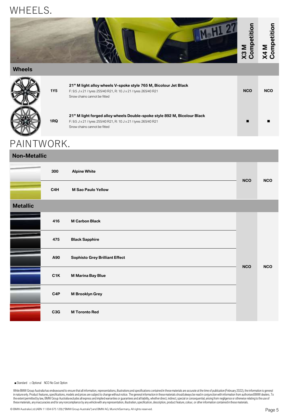### WHEELS.



### **Wheels**

| <b>1Y5</b> | 21" M light alloy wheels V-spoke style 765 M, Bicolour Jet Black<br>F: 9.5 J x 21 / tyres 255/40 R21, R: 10 J x 21 / tyres 265/40 R21<br>Snow chains cannot be fitted         | <b>NCO</b> | <b>NCO</b> |
|------------|-------------------------------------------------------------------------------------------------------------------------------------------------------------------------------|------------|------------|
| 1RQ        | 21" M light forged alloy wheels Double-spoke style 892 M, Bicolour Black<br>F: 9.5 J x 21 / tyres 255/40 R21, R: 10 J x 21 / tyres 265/40 R21<br>Snow chains cannot be fitted |            |            |

### PAINTWORK.

### **Non-Metallic**

|                 | 300              | <b>Alpine White</b>                   | <b>NCO</b> | <b>NCO</b> |
|-----------------|------------------|---------------------------------------|------------|------------|
|                 | C4H              | <b>M Sao Paulo Yellow</b>             |            |            |
| <b>Metallic</b> |                  |                                       |            |            |
|                 | 416              | <b>M Carbon Black</b>                 |            |            |
|                 | 475              | <b>Black Sapphire</b>                 |            |            |
|                 | A90              | <b>Sophisto Grey Brilliant Effect</b> | <b>NCO</b> | <b>NCO</b> |
|                 | C1K              | <b>M Marina Bay Blue</b>              |            |            |
|                 | C <sub>4</sub> P | <b>M Brooklyn Grey</b>                |            |            |
|                 | C <sub>3</sub> G | <b>M Toronto Red</b>                  |            |            |

### ■ Standard □ Optional NCO No Cost Option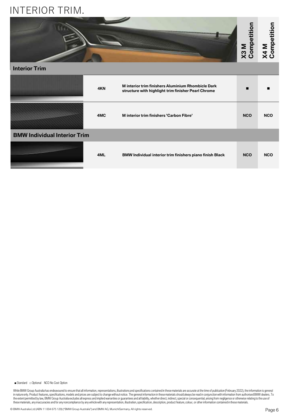### INTERIOR TRIM.



### **Interior Trim**

|                                     | 4KN | M interior trim finishers Aluminium Rhombicle Dark<br>structure with highlight trim finisher Pearl Chrome | П          |            |
|-------------------------------------|-----|-----------------------------------------------------------------------------------------------------------|------------|------------|
|                                     | 4MC | M interior trim finishers 'Carbon Fibre'                                                                  | <b>NCO</b> | <b>NCO</b> |
| <b>BMW Individual Interior Trim</b> |     |                                                                                                           |            |            |
|                                     | 4ML | BMW Individual interior trim finishers piano finish Black                                                 | <b>NCO</b> | <b>NCO</b> |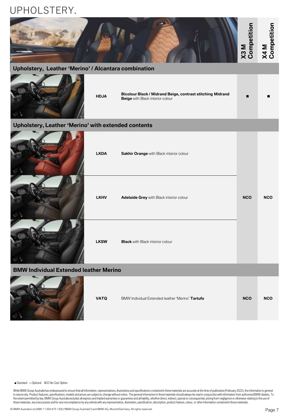### UPHOLSTERY.



### **Upholstery, Leather 'Merino' / Alcantara combination**



**HDJA Bicolour Black / Midrand Beige, contrast stitching Midrand Beige** with Black interior colour

### **Upholstery, Leather 'Merino' with extended contents**



### **BMW Individual Extended leather Merino**



| <b>VATO</b> | BMW Individual Extended leather 'Merino' Tartufo | <b>NCO</b> | <b>NCO</b> |
|-------------|--------------------------------------------------|------------|------------|
|             |                                                  |            |            |

#### ■ Standard □ Optional NCO No Cost Option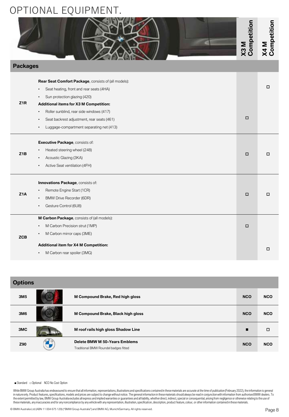### OPTIONAL EQUIPMENT.

|                  |                                                                                                                                                                                                | X3M<br>Competition | X4 M<br>Competition |
|------------------|------------------------------------------------------------------------------------------------------------------------------------------------------------------------------------------------|--------------------|---------------------|
| <b>Packages</b>  |                                                                                                                                                                                                |                    |                     |
| Z <sub>1R</sub>  | Rear Seat Comfort Package, consists of (all models):<br>Seat heating, front and rear seats (4HA)<br>$\bullet$<br>Sun protection glazing (420)<br><b>Additional items for X3 M Competition:</b> |                    | □                   |
|                  | Roller sunblind, rear side windows (417)<br>Seat backrest adjustment, rear seats (461)<br>Luggage-compartment separating net (413)                                                             | □                  |                     |
| Z <sub>1</sub> B | Executive Package, consists of:<br>Heated steering wheel (248)<br>Acoustic Glazing (3KA)<br>Active Seat ventilation (4FH)                                                                      | □                  | $\Box$              |
| Z <sub>1</sub> A | Innovations Package, consists of:<br>Remote Engine Start (1CR)<br>BMW Drive Recorder (6DR)<br>Gesture Control (6U8)                                                                            | □                  | $\Box$              |
| <b>ZCB</b>       | M Carbon Package, consists of (all models):<br>M Carbon Precision strut (1MP)<br>M Carbon mirror caps (3ME)<br><b>Additional item for X4 M Competition:</b><br>M Carbon rear spoiler (3MG)     | □                  | $\Box$              |

| <b>Options</b>  |                                                                        |            |            |
|-----------------|------------------------------------------------------------------------|------------|------------|
| 3M <sub>5</sub> | M Compound Brake, Red high gloss                                       | <b>NCO</b> | <b>NCO</b> |
| 3M6             | M Compound Brake, Black high gloss                                     | <b>NCO</b> | <b>NCO</b> |
| 3MC             | M roof rails high gloss Shadow Line                                    | ■          | □          |
| Z90             | Delete BMW M 50-Years Emblems<br>Traditional BMW Roundel badges fitted | <b>NCO</b> | <b>NCO</b> |

### ■ Standard □ Optional NCO No Cost Option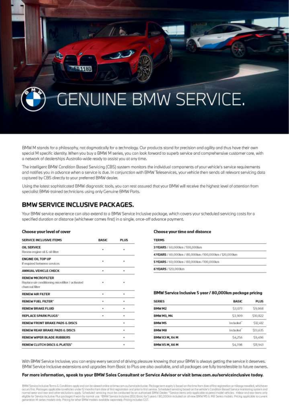

BMW M stands for a philosophy, not dogmatically for a technology. Our products stand for precision and agility and thus have their own special M specific identity, When you buy a BMW M series, you can look forward to superb service and comprehensive customer care, with a network of dealerships Australia-wide ready to assist you at any time.

The intelligent BMW Condition Based Servicing (CBS) system monitors the individual components of your vehicle's service requirements and notifies you in advance when a service is due. In conjunction with BMW Teleservices, your vehicle then sends all relevant servicing data coptured by CBS directly to your preferred BMW dealer.

Using the lotest sophisticated BMW diagnostic tools, you can rest assured that your BMW will receive the highest level of attention from specialist BMW-trained technicians using only Genuine BMW Parts.

### **BMW SERVICE INCLUSIVE PACKAGES.**

Your BMW service experience can also extend to a BMW Service Inclusive package, which covers your scheduled servicing costs for a specified duration or distance (whichever comes first) in a single, once-off advance payment.

#### Choose your level of cover

| SERVICE INCLUSIVE ITEMS                          | <b>BASIC</b>  | <b>PLUS</b> |
|--------------------------------------------------|---------------|-------------|
| <b>OIL SERVICE</b>                               | $\sim$        |             |
| Review emgine oil & oil filter                   |               |             |
| <b>ENGINE OIL TOP UP</b>                         |               |             |
| If required between services.                    | $\mathcal{A}$ | ٠           |
| ANNUAL VEHICLE CHECK                             | $\cdot$       |             |
| <b>RENEW MICROFILTER</b>                         |               |             |
| Replace air conditioning microfilter / activated | 197           |             |
| charcoal filter                                  |               |             |
| <b>RENEW AIR FILTER</b>                          | 1945          | ÷.          |
| <b>RENEW FUEL FILTER"</b>                        | (1, 4)        | ٠           |
| <b>RENEW BRAKE FLUID</b>                         | ٠             | ٠           |
| REPLACE SPARK PLUGS*                             | $\mathcal{L}$ | ٠           |
| RENEW FRONT BRAKE PADS & DISCS                   |               | ٠           |
| RENEW REAR BRAKE PADS & DISCS                    |               |             |
| <b>RENEW WIPER BLADE RUBBERS</b>                 |               | ٠           |
| RENEW CLUTCH DISCS & PLATES*                     |               |             |

#### Choose your time and distance

| <b>TERMS</b>                                         |  |
|------------------------------------------------------|--|
| 3 YEARS / 60,000km / 100,000km                       |  |
| 4YEARS / 60,000km / 80,000km / 100,000km / 120,000km |  |
| 5 YEARS / 60,000 km / 80,000 km / 100,000 km         |  |
| 6 YEARS / 120,000km                                  |  |

### BMW Service Inclusive 5 year / 80,000km package pricing

| <b>SERIES</b>     | <b>BASIC</b>    | <b>PLUS</b> |
|-------------------|-----------------|-------------|
| BMW M2            | 53.071          | \$9,068     |
| <b>BMW M3, M4</b> | S3,909          | S10, R22    |
| <b>BMWMS</b>      | <b>Included</b> | S12.412     |
| BMW M8            | induded         | \$13,635    |
| BMWX3M, X4M       | 54,256          | \$9,496     |
| BMW X5 M, X6 M    | <b>S4,398</b>   | SL943       |

With BMW Service Inclusive, you can enjoy every second of driving pleasure knowing that your BMW is always getting the service it deserves. BMW Service Inclusive extensions and upgrades from Basic to Plus are also available, and all packages are fully transferable to future owners.

### For more information, speak to your BMW Sales Consultant or Service Advisor or visit bmw.com.au/serviceinclusive today.

EMW Sewice Inclusive Terms & Conditions apply and con be viewed online arbrow.com au/service inclusive. Package term exply is based an the lime from date of first registration or mileage travelled, which ever<br>occurs first, normal wear and benr and other exclusions opply. Scheduled servicing must be conducted by an authorised BMW Dealer. "Service riens anly applicable to perminandel vehicles. +Wear and teamierrs anly<br>eligible for Service Inci generation M series models only. Pricing for ather BMW models available separately. Pricing includes CST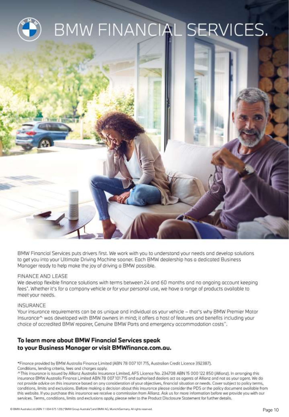

BMW Financial Services puts drivers first. We work with you to understand your needs and develop solutions to get you into your Ultimate Driving Machine sooner. Each BMW dealership has a dedicated Business Manager ready to help make the joy of driving a BMW possible.

### FINANCE AND LEASE

We develop flexible finance solutions with terms between 24 and 60 months and no ongoing account keeping fees". Whether it's for a company vehicle or for your personal use, we have a range of products available to meet your needs.

### INSURANCE

Your insurance requirements can be as unique and individual as your vehicle - that's why BMW Premier Motor Insurance^ was developed with BMW owners in mind; it offers a host of features and benefits including your choice of accredited BMW repairer, Genuine BMW Parts and emergency accommodation costs<sup>^</sup>.

### To learn more about BMW Financial Services speak to your Business Manager or visit BMWfinance.com.au.

\*Finance provided by BMW Austrolia Finance Limited (ABN 78 007 101 715, Australian Credit Licence 392387). Conditions, lending criteria, fees and charges apply.

^This insurance is issued by Allianz Australia Insurance Limited, AFS Licence No. 234708 ABN 15 000 122 850 (Allianz). In arranging this insurance BMW Australia Finance Limited ABN 78 007 101 715 and authorised dealers act as agents of Allianz and not as your agent. We do not provide advice on this insurance based on any consideration of your objectives, financial situation or needs. Cover subject to policy terms, conditions, limits and exclusions. Before making a decision about this insurance please consider the PDS or the policy document available from this website. If you purchase this insurance we receive a commission from Allianz. Ask us for more information before we provide you with our services. Terms, conditions, limits and exclusions apply, please refer to the Product Disclosure Statement for further details.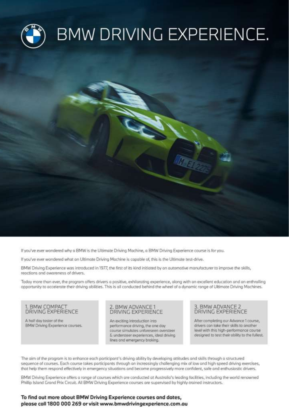

If you've ever wondered why a BMW is the Ultimate Driving Machine, a BMW Driving Experience course is for you.

If you've ever wondered what an Ultimate Driving Machine is capable of, this is the Ultimate test-drive.

BMW Driving Experience was introduced in 1977, the first of its kind initiated by an automotive manufacturer to improve the skills, reactions and awareness of drivers.

Today more than ever, the program offers drivers a positive, exhilarating experience, along with an excellent education and an enthralling opportunity to accelerate their driving abilities. This is all conducted behind the wheel of a dynamic range of Ultimate Driving Machines.

1. BMW COMPACT DRIVING EXPERIENCE

A half day taster of the BMW Driving Experience courses.

### 2. BMW ADVANCE 1 DRIVING EXPERIENCE

An exciting introduction into performance driving, the one day course simulates unforeseen oversteer & understeer experiences, ideal driving lines and emergency braking.

### 3. BMW ADVANCE 2 **DRIVING EXPERIENCE**

After completing our Advance 1 course, drivers can take their skills to another level with this high-performance course designed to test their ability to the fullest.

The aim of the program is to enhance each porticipant's driving ability by developing attitudes and skills through a structured sequence of courses. Each course takes participants through an increasingly challenging mix of low and high speed driving exercises, that help them respond effectively in emergency situations and become progressively more confident, safe and enthusiastic drivers.

BMW Driving Experience offers a range of courses which are conducted at Australia's leading facilities, including the world renowned Phillip Island Grand Prix Circuit. All BMW Driving Experience courses are supervised by highly-trained instructors.

### To find out more about BMW Driving Experience courses and dates, please call 1800 000 269 or visit www.bmwdrivingexperience.com.au